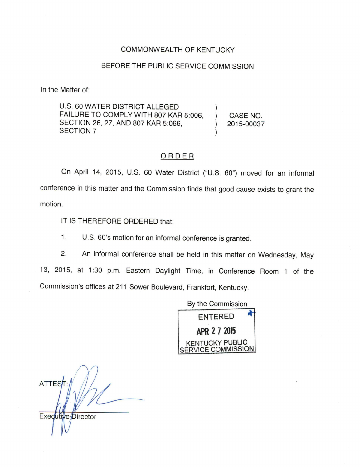## COMMONWEALTH OF KENTUCKY

## BEFORE THE PUBLIC SERVICE COMMISSION

In the Matter of:

U.S. 60 WATER DISTRICT ALLEGED FAILURE TO COMPLY WITH 807 KAR 5:006, SECTION 26, 27, AND 807 KAR 5:066, SECTION 7  $\sum_{i=1}^{n}$ )

) CASE NO. ) 2015-00037

## ORDER

On April 14, 2015, U.S. 60 Water District ("U.S. 60") moved for an informal conference in this matter and the Commission finds that good cause exists to grant the motion.

IT IS THEREFORE ORDERED that:

1. U.S. 60's motion for an informal conference is granted.

2. An informal conference shall be held in this matter on Wednesday, May 13, 2015, at 1:30 p.m. Eastern Daylight Time, in Conference Room 1 of the Commission's offices at 211 Sower Boulevard, Frankfort, Kentucky.



**ATTES** Exedutive Director